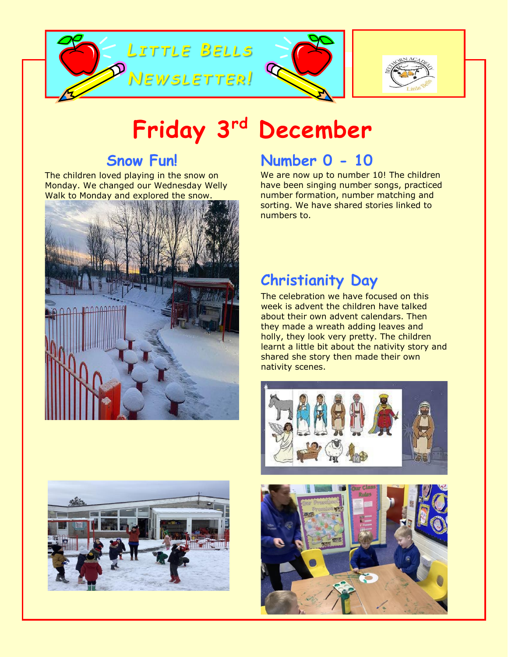





# **Friday 3rd December**

### **Snow Fun!**

The children loved playing in the snow on Monday. We changed our Wednesday Welly Walk to Monday and explored the snow.





### **Number 0 - 10**

We are now up to number 10! The children have been singing number songs, practiced number formation, number matching and sorting. We have shared stories linked to numbers to.

## **Christianity Day**

The celebration we have focused on this week is advent the children have talked about their own advent calendars. Then they made a wreath adding leaves and holly, they look very pretty. The children learnt a little bit about the nativity story and shared she story then made their own nativity scenes.